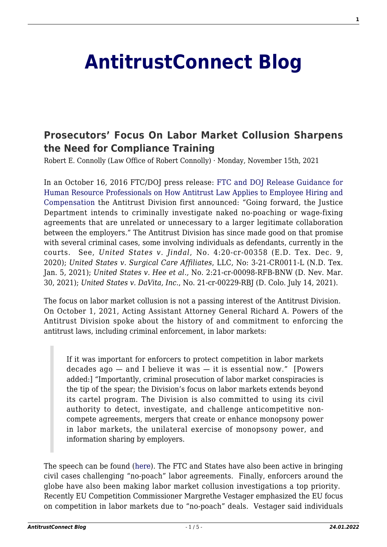# **[AntitrustConnect Blog](http://antitrustconnect.com/)**

# **[Prosecutors' Focus On Labor Market Collusion Sharpens](http://antitrustconnect.com/2021/11/15/prosecutors-focus-on-labor-market-collusion-sharpens-the-need-for-compliance-training/) [the Need for Compliance Training](http://antitrustconnect.com/2021/11/15/prosecutors-focus-on-labor-market-collusion-sharpens-the-need-for-compliance-training/)**

Robert E. Connolly (Law Office of Robert Connolly) · Monday, November 15th, 2021

In an October 16, 2016 FTC/DOJ press release: [FTC and DOJ Release Guidance for](https://www.ftc.gov/news-events/press-releases/2016/10/ftc-doj-release-guidance-human-resource-professionals-how) [Human Resource Professionals on How Antitrust Law Applies to Employee Hiring and](https://www.ftc.gov/news-events/press-releases/2016/10/ftc-doj-release-guidance-human-resource-professionals-how) [Compensation](https://www.ftc.gov/news-events/press-releases/2016/10/ftc-doj-release-guidance-human-resource-professionals-how) the Antitrust Division first announced: "Going forward, the Justice Department intends to criminally investigate naked no-poaching or wage-fixing agreements that are unrelated or unnecessary to a larger legitimate collaboration between the employers." The Antitrust Division has since made good on that promise with several criminal cases, some involving individuals as defendants, currently in the courts. See, *United States v. Jindal*, No. 4:20-cr-00358 (E.D. Tex. Dec. 9, 2020); *United States v. Surgical Care Affiliates*, LLC, No: 3-21-CR0011-L (N.D. Tex. Jan. 5, 2021); *United States v. Hee et al.,* No. 2:21-cr-00098-RFB-BNW (D. Nev. Mar. 30, 2021); *United States v. DaVita, Inc*., No. 21-cr-00229-RBJ (D. Colo. July 14, 2021).

The focus on labor market collusion is not a passing interest of the Antitrust Division. On October 1, 2021, Acting Assistant Attorney General Richard A. Powers of the Antitrust Division spoke about the history of and commitment to enforcing the antitrust laws, including criminal enforcement, in labor markets:

If it was important for enforcers to protect competition in labor markets decades  $aqo$  — and I believe it was — it is essential now." [Powers] added:] "Importantly, criminal prosecution of labor market conspiracies is the tip of the spear; the Division's focus on labor markets extends beyond its cartel program. The Division is also committed to using its civil authority to detect, investigate, and challenge anticompetitive noncompete agreements, mergers that create or enhance monopsony power in labor markets, the unilateral exercise of monopsony power, and information sharing by employers.

The speech can be found ([here\)](https://www.justice.gov/opa/speech/acting-assistant-attorney-general-richard-powers-antitrust-division-delivers-remarks). The FTC and States have also been active in bringing civil cases challenging "no-poach" labor agreements. Finally, enforcers around the globe have also been making labor market collusion investigations a top priority. Recently EU Competition Commissioner Margrethe Vestager emphasized the EU focus on competition in labor markets due to "no-poach" deals. Vestager said individuals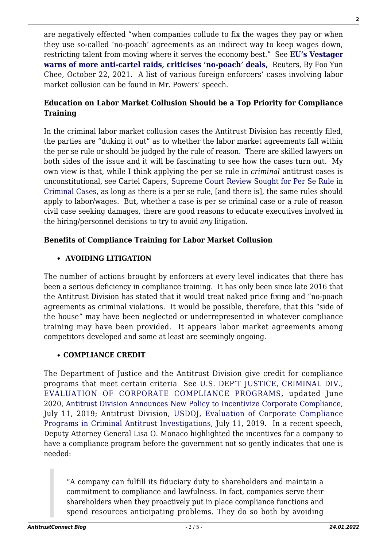are negatively effected "when companies collude to fix the wages they pay or when they use so-called 'no-poach' agreements as an indirect way to keep wages down, restricting talent from moving where it serves the economy best." See **[EU's Vestager](https://www.reuters.com/world/europe/eus-vestager-warns-more-anti-cartel-raids-2021-10-22/) [warns of more anti-cartel raids, criticises 'no-poach' deals,](https://www.reuters.com/world/europe/eus-vestager-warns-more-anti-cartel-raids-2021-10-22/)** Reuters, By Foo Yun Chee, October 22, 2021. A list of various foreign enforcers' cases involving labor market collusion can be found in Mr. Powers' speech.

# **Education on Labor Market Collusion Should be a Top Priority for Compliance Training**

In the criminal labor market collusion cases the Antitrust Division has recently filed, the parties are "duking it out" as to whether the labor market agreements fall within the per se rule or should be judged by the rule of reason. There are skilled lawyers on both sides of the issue and it will be fascinating to see how the cases turn out. My own view is that, while I think applying the per se rule in *criminal* antitrust cases is unconstitutional, see Cartel Capers[, Supreme Court Review Sought for Per Se Rule in](http://cartelcapers.com/blog/supreme-court-review-sought-for-per-se-rule-in-criminal-cases/) [Criminal Cases](http://cartelcapers.com/blog/supreme-court-review-sought-for-per-se-rule-in-criminal-cases/), as long as there is a per se rule, [and there is], the same rules should apply to labor/wages. But, whether a case is per se criminal case or a rule of reason civil case seeking damages, there are good reasons to educate executives involved in the hiring/personnel decisions to try to avoid *any* litigation.

# **Benefits of Compliance Training for Labor Market Collusion**

#### **AVOIDING LITIGATION**

The number of actions brought by enforcers at every level indicates that there has been a serious deficiency in compliance training. It has only been since late 2016 that the Antitrust Division has stated that it would treat naked price fixing and "no-poach agreements as criminal violations. It would be possible, therefore, that this "side of the house" may have been neglected or underrepresented in whatever compliance training may have been provided. It appears labor market agreements among competitors developed and some at least are seemingly ongoing.

#### **COMPLIANCE CREDIT**

The Department of Justice and the Antitrust Division give credit for compliance programs that meet certain criteria See [U.S. DEP'T JUSTICE, CRIMINAL DIV.,](https://www.justice.gov/criminal-fraud/page/file/937501/download) [EVALUATION OF CORPORATE COMPLIANCE PROGRAMS,](https://www.justice.gov/criminal-fraud/page/file/937501/download) updated June 2020, [Antitrust Division Announces New Policy to Incentivize Corporate Compliance](https://www.justice.gov/opa/pr/antitrust-division-announces-new-policy-incentivize-corporate-compliance), July 11, 2019; Antitrust Division, [USDOJ, Evaluation of Corporate Compliance](https://www.justice.gov/atr/page/file/1182001/download) [Programs in Criminal Antitrust Investigations,](https://www.justice.gov/atr/page/file/1182001/download) July 11, 2019. In a recent speech, Deputy Attorney General Lisa O. Monaco highlighted the incentives for a company to have a compliance program before the government not so gently indicates that one is needed:

"A company can fulfill its fiduciary duty to shareholders and maintain a commitment to compliance and lawfulness. In fact, companies serve their shareholders when they proactively put in place compliance functions and spend resources anticipating problems. They do so both by avoiding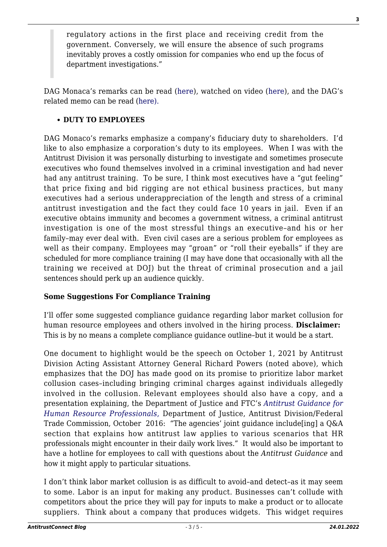regulatory actions in the first place and receiving credit from the government. Conversely, we will ensure the absence of such programs inevitably proves a costly omission for companies who end up the focus of department investigations."

DAG Monaca's remarks can be read ([here\)](https://www.justice.gov/opa/speech/deputy-attorney-general-lisa-o-monaco-gives-keynote-address-abas-36th-national-institute), watched on video ([here\)](https://www.youtube.com/watch?v=Cbji7-w44l4), and the DAG's related memo can be read [\(here\).](https://www.justice.gov/dag/page/file/1445106/download) 

### **• DUTY TO EMPLOYEES**

DAG Monaco's remarks emphasize a company's fiduciary duty to shareholders. I'd like to also emphasize a corporation's duty to its employees. When I was with the Antitrust Division it was personally disturbing to investigate and sometimes prosecute executives who found themselves involved in a criminal investigation and had never had any antitrust training. To be sure, I think most executives have a "gut feeling" that price fixing and bid rigging are not ethical business practices, but many executives had a serious underappreciation of the length and stress of a criminal antitrust investigation and the fact they could face 10 years in jail. Even if an executive obtains immunity and becomes a government witness, a criminal antitrust investigation is one of the most stressful things an executive–and his or her family–may ever deal with. Even civil cases are a serious problem for employees as well as their company. Employees may "groan" or "roll their eyeballs" if they are scheduled for more compliance training (I may have done that occasionally with all the training we received at DOJ) but the threat of criminal prosecution and a jail sentences should perk up an audience quickly.

# **Some Suggestions For Compliance Training**

I'll offer some suggested compliance guidance regarding labor market collusion for human resource employees and others involved in the hiring process. **Disclaimer:** This is by no means a complete compliance guidance outline–but it would be a start.

One document to highlight would be the speech on October 1, 2021 by Antitrust Division Acting Assistant Attorney General Richard Powers (noted above), which emphasizes that the DOJ has made good on its promise to prioritize labor market collusion cases–including bringing criminal charges against individuals allegedly involved in the collusion. Relevant employees should also have a copy, and a presentation explaining, the Department of Justice and FTC's *[Antitrust Guidance for](https://www.justice.gov/atr/file/903511/download) [Human Resource Professionals](https://www.justice.gov/atr/file/903511/download)*[,](https://www.justice.gov/atr/file/903511/download) Department of Justice, Antitrust Division/Federal Trade Commission, October 2016: "The agencies' joint guidance include[ing] a Q&A section that explains how antitrust law applies to various scenarios that HR professionals might encounter in their daily work lives." It would also be important to have a hotline for employees to call with questions about the *Antitrust Guidance* and how it might apply to particular situations.

I don't think labor market collusion is as difficult to avoid–and detect–as it may seem to some. Labor is an input for making any product. Businesses can't collude with competitors about the price they will pay for inputs to make a product or to allocate suppliers. Think about a company that produces widgets. This widget requires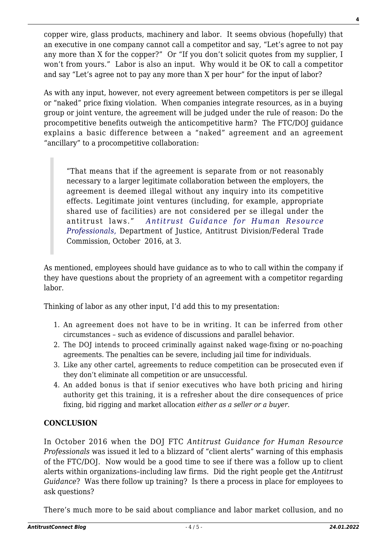copper wire, glass products, machinery and labor. It seems obvious (hopefully) that an executive in one company cannot call a competitor and say, "Let's agree to not pay any more than X for the copper?" Or "If you don't solicit quotes from my supplier, I won't from yours." Labor is also an input. Why would it be OK to call a competitor and say "Let's agree not to pay any more than X per hour" for the input of labor?

As with any input, however, not every agreement between competitors is per se illegal or "naked" price fixing violation. When companies integrate resources, as in a buying group or joint venture, the agreement will be judged under the rule of reason: Do the procompetitive benefits outweigh the anticompetitive harm? The FTC/DOJ guidance explains a basic difference between a "naked" agreement and an agreement "ancillary" to a procompetitive collaboration:

"That means that if the agreement is separate from or not reasonably necessary to a larger legitimate collaboration between the employers, the agreement is deemed illegal without any inquiry into its competitive effects. Legitimate joint ventures (including, for example, appropriate shared use of facilities) are not considered per se illegal under the antitrust laws." *[Antitrust Guidance for Human Resource](https://www.justice.gov/atr/file/903511/download) [Professionals](https://www.justice.gov/atr/file/903511/download)*[,](https://www.justice.gov/atr/file/903511/download) Department of Justice, Antitrust Division/Federal Trade Commission, October 2016, at 3.

As mentioned, employees should have guidance as to who to call within the company if they have questions about the propriety of an agreement with a competitor regarding labor.

Thinking of labor as any other input, I'd add this to my presentation:

- 1. An agreement does not have to be in writing. It can be inferred from other circumstances – such as evidence of discussions and parallel behavior.
- 2. The DOJ intends to proceed criminally against naked wage-fixing or no-poaching agreements. The penalties can be severe, including jail time for individuals.
- 3. Like any other cartel, agreements to reduce competition can be prosecuted even if they don't eliminate all competition or are unsuccessful.
- 4. An added bonus is that if senior executives who have both pricing and hiring authority get this training, it is a refresher about the dire consequences of price fixing, bid rigging and market allocation *either as a seller or a buyer*.

# **CONCLUSION**

In October 2016 when the DOJ FTC *Antitrust Guidance for Human Resource Professionals* was issued it led to a blizzard of "client alerts" warning of this emphasis of the FTC/DOJ. Now would be a good time to see if there was a follow up to client alerts within organizations–including law firms. Did the right people get the *Antitrust Guidance*? Was there follow up training? Is there a process in place for employees to ask questions?

There's much more to be said about compliance and labor market collusion, and no